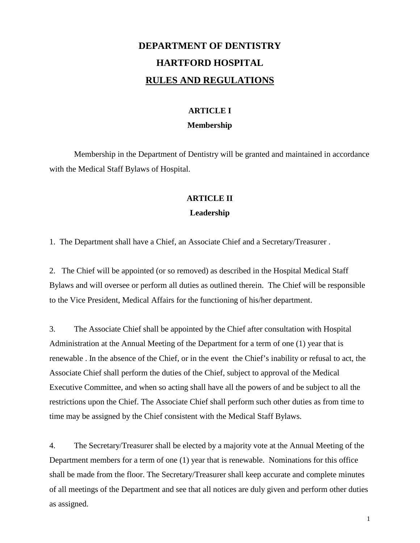# **DEPARTMENT OF DENTISTRY HARTFORD HOSPITAL RULES AND REGULATIONS**

## **ARTICLE I Membership**

Membership in the Department of Dentistry will be granted and maintained in accordance with the Medical Staff Bylaws of Hospital.

### **ARTICLE II**

### **Leadership**

1. The Department shall have a Chief, an Associate Chief and a Secretary/Treasurer .

2. The Chief will be appointed (or so removed) as described in the Hospital Medical Staff Bylaws and will oversee or perform all duties as outlined therein. The Chief will be responsible to the Vice President, Medical Affairs for the functioning of his/her department.

3. The Associate Chief shall be appointed by the Chief after consultation with Hospital Administration at the Annual Meeting of the Department for a term of one (1) year that is renewable . In the absence of the Chief, or in the event the Chief's inability or refusal to act, the Associate Chief shall perform the duties of the Chief, subject to approval of the Medical Executive Committee, and when so acting shall have all the powers of and be subject to all the restrictions upon the Chief. The Associate Chief shall perform such other duties as from time to time may be assigned by the Chief consistent with the Medical Staff Bylaws.

4. The Secretary/Treasurer shall be elected by a majority vote at the Annual Meeting of the Department members for a term of one (1) year that is renewable. Nominations for this office shall be made from the floor. The Secretary/Treasurer shall keep accurate and complete minutes of all meetings of the Department and see that all notices are duly given and perform other duties as assigned.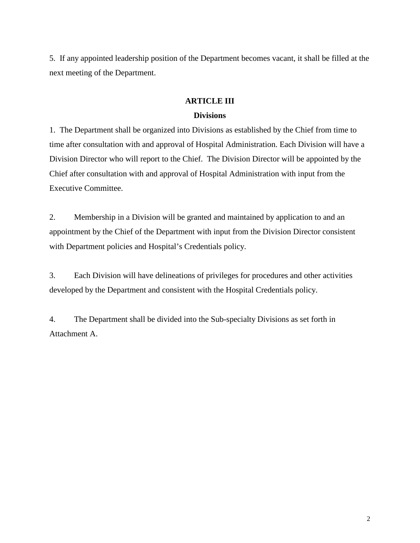5. If any appointed leadership position of the Department becomes vacant, it shall be filled at the next meeting of the Department.

### **ARTICLE III**

### **Divisions**

1. The Department shall be organized into Divisions as established by the Chief from time to time after consultation with and approval of Hospital Administration. Each Division will have a Division Director who will report to the Chief. The Division Director will be appointed by the Chief after consultation with and approval of Hospital Administration with input from the Executive Committee.

2. Membership in a Division will be granted and maintained by application to and an appointment by the Chief of the Department with input from the Division Director consistent with Department policies and Hospital's Credentials policy.

3. Each Division will have delineations of privileges for procedures and other activities developed by the Department and consistent with the Hospital Credentials policy.

4. The Department shall be divided into the Sub-specialty Divisions as set forth in Attachment A.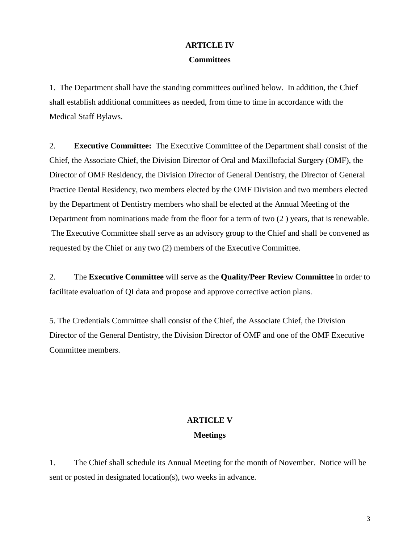## **ARTICLE IV Committees**

1. The Department shall have the standing committees outlined below. In addition, the Chief shall establish additional committees as needed, from time to time in accordance with the Medical Staff Bylaws.

2. **Executive Committee:** The Executive Committee of the Department shall consist of the Chief, the Associate Chief, the Division Director of Oral and Maxillofacial Surgery (OMF), the Director of OMF Residency, the Division Director of General Dentistry, the Director of General Practice Dental Residency, two members elected by the OMF Division and two members elected by the Department of Dentistry members who shall be elected at the Annual Meeting of the Department from nominations made from the floor for a term of two (2 ) years, that is renewable. The Executive Committee shall serve as an advisory group to the Chief and shall be convened as requested by the Chief or any two (2) members of the Executive Committee.

2. The **Executive Committee** will serve as the **Quality/Peer Review Committee** in order to facilitate evaluation of QI data and propose and approve corrective action plans.

5. The Credentials Committee shall consist of the Chief, the Associate Chief, the Division Director of the General Dentistry, the Division Director of OMF and one of the OMF Executive Committee members.

## **ARTICLE V Meetings**

1. The Chief shall schedule its Annual Meeting for the month of November. Notice will be sent or posted in designated location(s), two weeks in advance.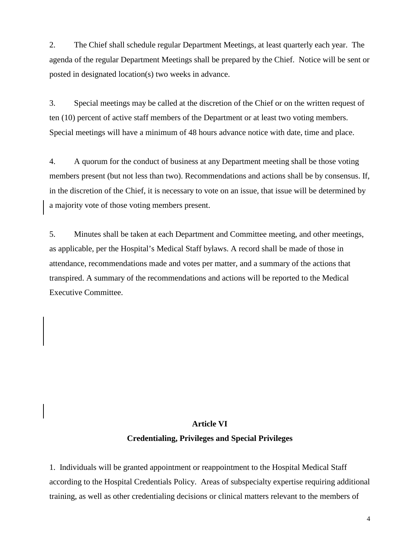2. The Chief shall schedule regular Department Meetings, at least quarterly each year. The agenda of the regular Department Meetings shall be prepared by the Chief. Notice will be sent or posted in designated location(s) two weeks in advance.

3. Special meetings may be called at the discretion of the Chief or on the written request of ten (10) percent of active staff members of the Department or at least two voting members. Special meetings will have a minimum of 48 hours advance notice with date, time and place.

4. A quorum for the conduct of business at any Department meeting shall be those voting members present (but not less than two). Recommendations and actions shall be by consensus. If, in the discretion of the Chief, it is necessary to vote on an issue, that issue will be determined by a majority vote of those voting members present.

5. Minutes shall be taken at each Department and Committee meeting, and other meetings, as applicable, per the Hospital's Medical Staff bylaws. A record shall be made of those in attendance, recommendations made and votes per matter, and a summary of the actions that transpired. A summary of the recommendations and actions will be reported to the Medical Executive Committee.

#### **Article VI**

#### **Credentialing, Privileges and Special Privileges**

1. Individuals will be granted appointment or reappointment to the Hospital Medical Staff according to the Hospital Credentials Policy. Areas of subspecialty expertise requiring additional training, as well as other credentialing decisions or clinical matters relevant to the members of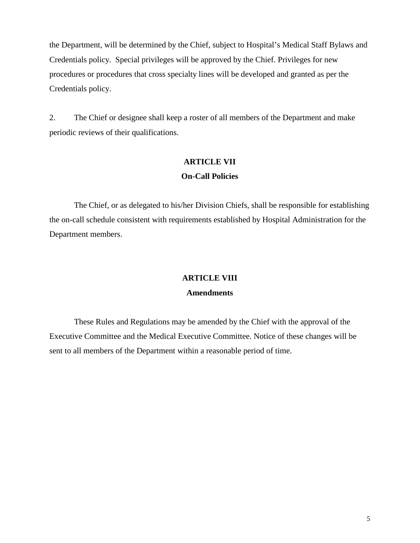the Department, will be determined by the Chief, subject to Hospital's Medical Staff Bylaws and Credentials policy. Special privileges will be approved by the Chief. Privileges for new procedures or procedures that cross specialty lines will be developed and granted as per the Credentials policy.

2. The Chief or designee shall keep a roster of all members of the Department and make periodic reviews of their qualifications.

### **ARTICLE VII On-Call Policies**

The Chief, or as delegated to his/her Division Chiefs, shall be responsible for establishing the on-call schedule consistent with requirements established by Hospital Administration for the Department members.

### **ARTICLE VIII**

### **Amendments**

These Rules and Regulations may be amended by the Chief with the approval of the Executive Committee and the Medical Executive Committee. Notice of these changes will be sent to all members of the Department within a reasonable period of time.